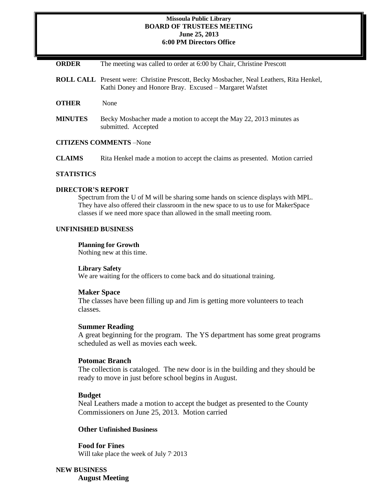## **Missoula Public Library BOARD OF TRUSTEES MEETING June 25, 2013 6:00 PM Directors Office**

| <b>ORDER</b> | The meeting was called to order at 6:00 by Chair, Christine Prescott |  |  |  |  |
|--------------|----------------------------------------------------------------------|--|--|--|--|
|--------------|----------------------------------------------------------------------|--|--|--|--|

- **ROLL CALL** Present were: Christine Prescott, Becky Mosbacher, Neal Leathers, Rita Henkel, Kathi Doney and Honore Bray. Excused – Margaret Wafstet
- **OTHER** None
- **MINUTES** Becky Mosbacher made a motion to accept the May 22, 2013 minutes as submitted. Accepted

## **CITIZENS COMMENTS** –None

**CLAIMS** Rita Henkel made a motion to accept the claims as presented. Motion carried

# **STATISTICS**

# **DIRECTOR'S REPORT**

Spectrum from the U of M will be sharing some hands on science displays with MPL. They have also offered their classroom in the new space to us to use for MakerSpace classes if we need more space than allowed in the small meeting room.

# **UNFINISHED BUSINESS**

## **Planning for Growth**

Nothing new at this time.

#### **Library Safety**

We are waiting for the officers to come back and do situational training.

#### **Maker Space**

The classes have been filling up and Jim is getting more volunteers to teach classes.

#### **Summer Reading**

A great beginning for the program. The YS department has some great programs scheduled as well as movies each week.

#### **Potomac Branch**

The collection is cataloged. The new door is in the building and they should be ready to move in just before school begins in August.

#### **Budget**

Neal Leathers made a motion to accept the budget as presented to the County Commissioners on June 25, 2013. Motion carried

## **Other Unfinished Business**

**Food for Fines**  Will take place the week of July 7<sup>,</sup> 2013

**NEW BUSINESS August Meeting**